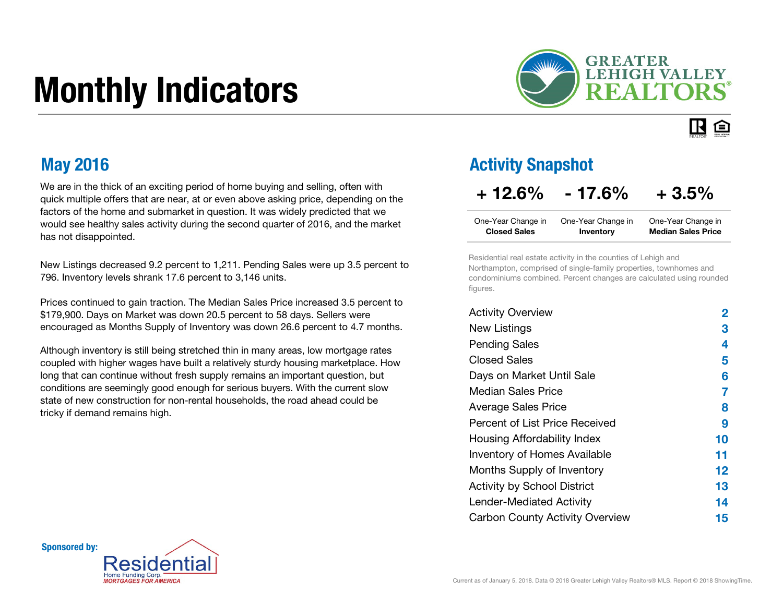# Monthly Indicators



#### $\mathbf R$ 臼

We are in the thick of an exciting period of home buying and selling, often with quick multiple offers that are near, at or even above asking price, depending on the factors of the home and submarket in question. It was widely predicted that we would see healthy sales activity during the second quarter of 2016, and the market has not disappointed.

New Listings decreased 9.2 percent to 1,211. Pending Sales were up 3.5 percent to 796. Inventory levels shrank 17.6 percent to 3,146 units.

Prices continued to gain traction. The Median Sales Price increased 3.5 percent to \$179,900. Days on Market was down 20.5 percent to 58 days. Sellers were encouraged as Months Supply of Inventory was down 26.6 percent to 4.7 months.

Although inventory is still being stretched thin in many areas, low mortgage rates coupled with higher wages have built a relatively sturdy housing marketplace. How long that can continue without fresh supply remains an important question, but conditions are seemingly good enough for serious buyers. With the current slow state of new construction for non-rental households, the road ahead could be tricky if demand remains high.

### May 2016 **Activity Snapshot CONSUMERTY** Activity Snapshot

### $+ 12.6\% - 17.6\% + 3.5\%$

| One-Year Change in  | One-Year Change in | One-Year Change in        |
|---------------------|--------------------|---------------------------|
| <b>Closed Sales</b> | Inventory          | <b>Median Sales Price</b> |

Residential real estate activity in the counties of Lehigh and Northampton, comprised of single-family properties, townhomes and condominiums combined. Percent changes are calculated using rounded figures.

| <b>Activity Overview</b>               | 2       |
|----------------------------------------|---------|
| <b>New Listings</b>                    | 3       |
| <b>Pending Sales</b>                   | 4       |
| <b>Closed Sales</b>                    | 5       |
| Days on Market Until Sale              | 6       |
| Median Sales Price                     | 7       |
| <b>Average Sales Price</b>             | 8       |
| Percent of List Price Received         | 9       |
| Housing Affordability Index            | 10      |
| <b>Inventory of Homes Available</b>    | 11      |
| Months Supply of Inventory             | $12 \,$ |
| <b>Activity by School District</b>     | 13      |
| <b>Lender-Mediated Activity</b>        | 14      |
| <b>Carbon County Activity Overview</b> | 15      |

Sponsored by:

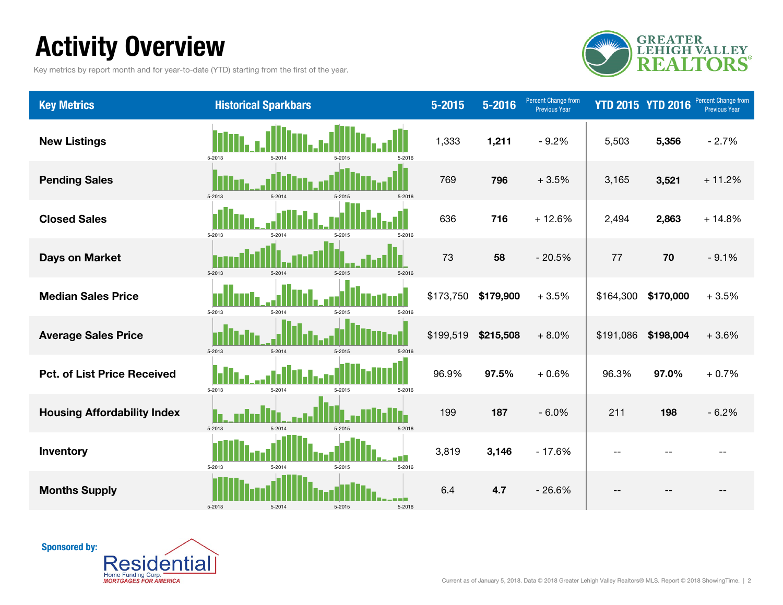# Activity Overview

Key metrics by report month and for year-to-date (YTD) starting from the first of the year.



| <b>Key Metrics</b>                 | <b>Historical Sparkbars</b>              | $5 - 2015$ | $5 - 2016$ | Percent Change from<br><b>Previous Year</b> | <b>YTD 2015 YTD 2016</b> |           | Percent Change from<br><b>Previous Year</b> |
|------------------------------------|------------------------------------------|------------|------------|---------------------------------------------|--------------------------|-----------|---------------------------------------------|
| <b>New Listings</b>                | 5-2013<br>5-2014<br>5-2015<br>5-2016     | 1,333      | 1,211      | $-9.2%$                                     | 5,503                    | 5,356     | $-2.7%$                                     |
| <b>Pending Sales</b>               | 5-2013<br>5-2014<br>5-2015<br>$5 - 2016$ | 769        | 796        | $+3.5%$                                     | 3,165                    | 3,521     | $+11.2%$                                    |
| <b>Closed Sales</b>                | 5-2013<br>5-2014<br>5-2015<br>5-2016     | 636        | 716        | $+12.6%$                                    | 2,494                    | 2,863     | $+14.8%$                                    |
| <b>Days on Market</b>              | 5-2013<br>5-2014<br>$5 - 2015$<br>5-2016 | 73         | 58         | $-20.5%$                                    | 77                       | 70        | $-9.1%$                                     |
| <b>Median Sales Price</b>          | 5-2013<br>5-2014<br>5-2015<br>5-2016     | \$173,750  | \$179,900  | $+3.5%$                                     | \$164,300                | \$170,000 | $+3.5%$                                     |
| <b>Average Sales Price</b>         | 5-2013<br>5-2014<br>5-2015<br>5-2016     | \$199,519  | \$215,508  | $+8.0%$                                     | \$191,086                | \$198,004 | $+3.6%$                                     |
| <b>Pct. of List Price Received</b> | 5-2013<br>5-2014<br>5-2016<br>5-2015     | 96.9%      | 97.5%      | $+0.6%$                                     | 96.3%                    | 97.0%     | $+0.7%$                                     |
| <b>Housing Affordability Index</b> | 5-2013<br>5-2014<br>5-2016<br>5-2015     | 199        | 187        | $-6.0%$                                     | 211                      | 198       | $-6.2%$                                     |
| Inventory                          | 5-2013<br>5-2015<br>5-2016<br>5-2014     | 3,819      | 3,146      | $-17.6%$                                    |                          |           |                                             |
| <b>Months Supply</b>               | 5-2013<br>5-2014<br>5-2015<br>$5 - 2016$ | 6.4        | 4.7        | $-26.6%$                                    |                          |           |                                             |

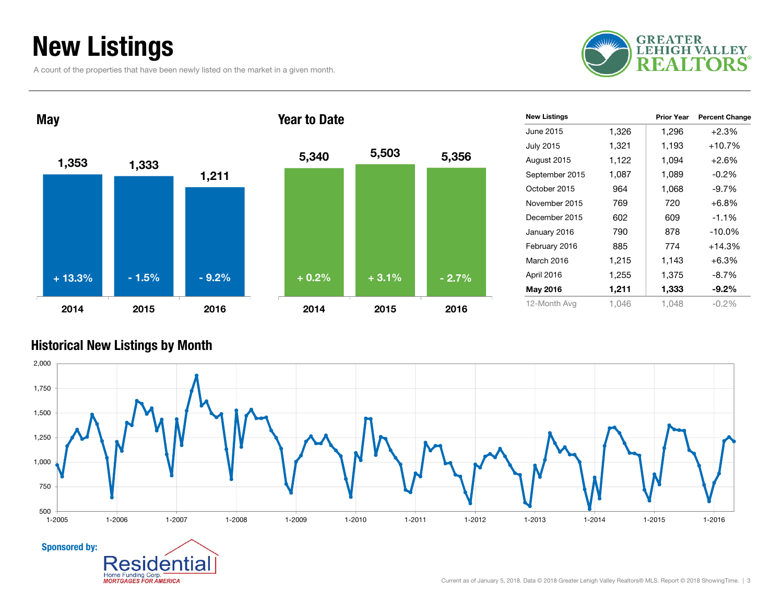# New Listings

A count of the properties that have been newly listed on the market in a given month.

entia

Home Funding Corp. **MORTGAGES FOR AMERICA** 





| <b>New Listings</b> |       | <b>Prior Year</b> | <b>Percent Change</b> |
|---------------------|-------|-------------------|-----------------------|
| June 2015           | 1,326 | 1,296             | $+2.3%$               |
| <b>July 2015</b>    | 1,321 | 1,193             | +10.7%                |
| August 2015         | 1,122 | 1,094             | $+2.6%$               |
| September 2015      | 1,087 | 1,089             | $-0.2%$               |
| October 2015        | 964   | 1,068             | $-9.7%$               |
| November 2015       | 769   | 720               | +6.8%                 |
| December 2015       | 602   | 609               | $-1.1%$               |
| January 2016        | 790   | 878               | $-10.0\%$             |
| February 2016       | 885   | 774               | $+14.3%$              |
| March 2016          | 1,215 | 1,143             | $+6.3%$               |
| April 2016          | 1,255 | 1,375             | $-8.7%$               |
| May 2016            | 1,211 | 1,333             | $-9.2\%$              |
| 12-Month Avg        | 1.046 | 1,048             | $-0.2\%$              |

### Historical New Listings by Month

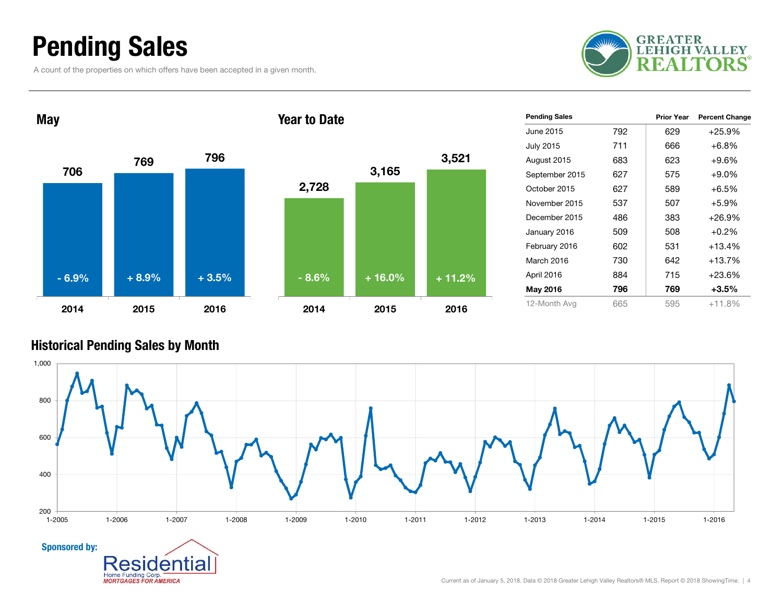# Pending Sales

A count of the properties on which offers have been accepted in a given month.





| <b>Pending Sales</b> |     | <b>Prior Year</b> | <b>Percent Change</b> |
|----------------------|-----|-------------------|-----------------------|
| June 2015            | 792 | 629               | $+25.9%$              |
| <b>July 2015</b>     | 711 | 666               | $+6.8%$               |
| August 2015          | 683 | 623               | $+9.6%$               |
| September 2015       | 627 | 575               | $+9.0\%$              |
| October 2015         | 627 | 589               | $+6.5%$               |
| November 2015        | 537 | 507               | $+5.9%$               |
| December 2015        | 486 | 383               | $+26.9%$              |
| January 2016         | 509 | 508               | $+0.2%$               |
| February 2016        | 602 | 531               | +13.4%                |
| March 2016           | 730 | 642               | +13.7%                |
| April 2016           | 884 | 715               | +23.6%                |
| May 2016             | 796 | 769               | $+3.5%$               |
| 12-Month Avg         | 665 | 595               | $+11.8%$              |

### Historical Pending Sales by Month

Home Funding Corp. **MORTGAGES FOR AMERICA** 

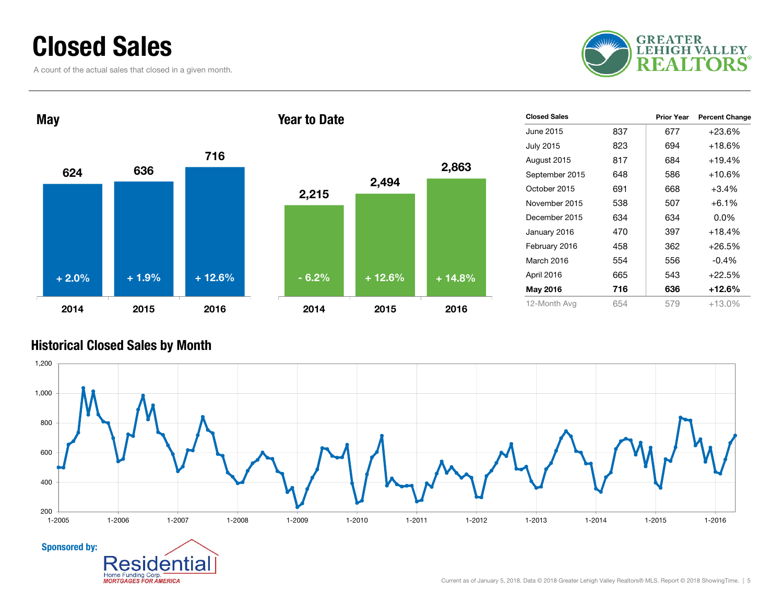## Closed Sales

A count of the actual sales that closed in a given month.





| <b>Closed Sales</b> |     | <b>Prior Year</b> | <b>Percent Change</b> |
|---------------------|-----|-------------------|-----------------------|
| June 2015           | 837 | 677               | +23.6%                |
| <b>July 2015</b>    | 823 | 694               | $+18.6%$              |
| August 2015         | 817 | 684               | $+19.4%$              |
| September 2015      | 648 | 586               | $+10.6%$              |
| October 2015        | 691 | 668               | $+3.4\%$              |
| November 2015       | 538 | 507               | $+6.1\%$              |
| December 2015       | 634 | 634               | $0.0\%$               |
| January 2016        | 470 | 397               | $+18.4%$              |
| February 2016       | 458 | 362               | $+26.5%$              |
| March 2016          | 554 | 556               | $-0.4\%$              |
| April 2016          | 665 | 543               | $+22.5%$              |
| May 2016            | 716 | 636               | +12.6%                |
| 12-Month Avg        | 654 | 579               | $+13.0%$              |

### Historical Closed Sales by Month

Home Funding Corp.

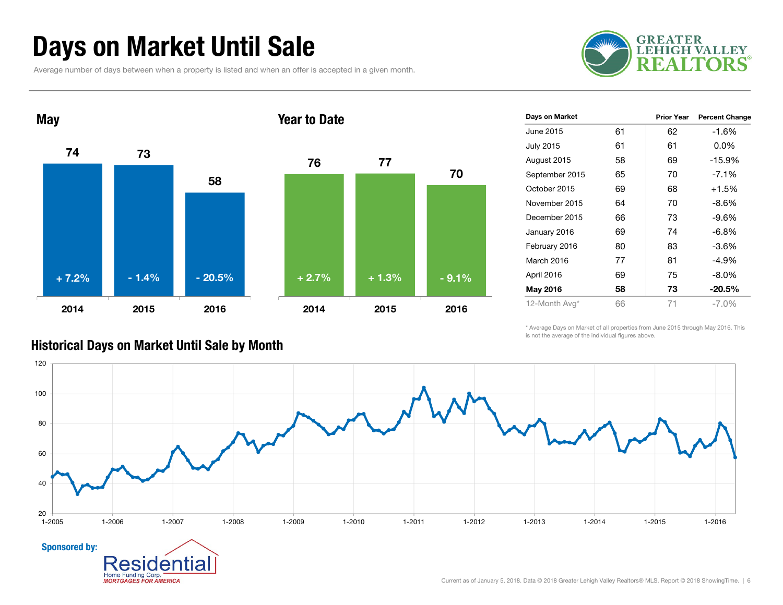# Days on Market Until Sale

Average number of days between when a property is listed and when an offer is accepted in a given month.





| Days on Market   |    | <b>Prior Year</b> | <b>Percent Change</b> |
|------------------|----|-------------------|-----------------------|
| June 2015        | 61 | 62                | $-1.6%$               |
| <b>July 2015</b> | 61 | 61                | $0.0\%$               |
| August 2015      | 58 | 69                | $-15.9%$              |
| September 2015   | 65 | 70                | $-7.1%$               |
| October 2015     | 69 | 68                | $+1.5%$               |
| November 2015    | 64 | 70                | $-8.6%$               |
| December 2015    | 66 | 73                | $-9.6%$               |
| January 2016     | 69 | 74                | -6.8%                 |
| February 2016    | 80 | 83                | $-3.6%$               |
| March 2016       | 77 | 81                | $-4.9%$               |
| April 2016       | 69 | 75                | $-8.0\%$              |
| May 2016         | 58 | 73                | -20.5%                |
| 12-Month Avg*    | 66 | 71                | $-7.0\%$              |

\* Average Days on Market of all properties from June 2015 through May 2016. This is not the average of the individual figures above.



### Historical Days on Market Until Sale by Month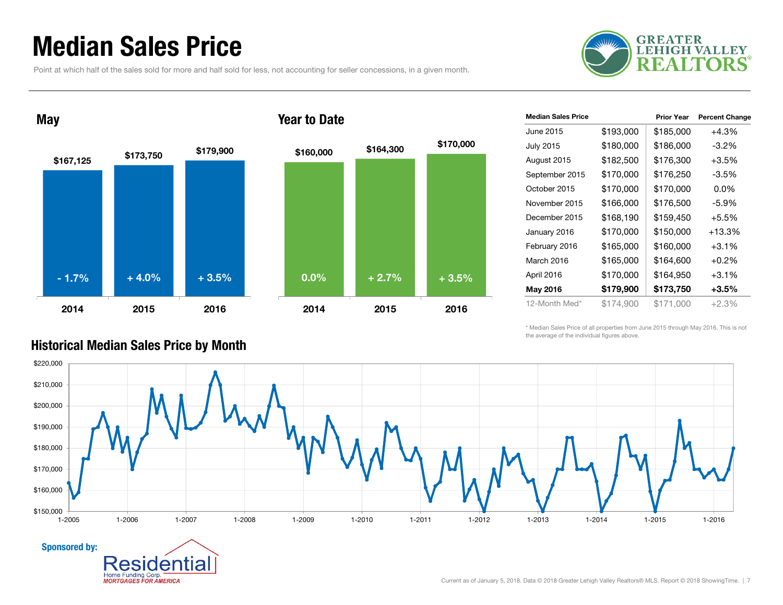## Median Sales Price

Point at which half of the sales sold for more and half sold for less, not accounting for seller concessions, in a given month.





### Year to Date

| <b>Median Sales Price</b> |           | <b>Prior Year</b> | <b>Percent Change</b> |
|---------------------------|-----------|-------------------|-----------------------|
| June 2015.                | \$193,000 | \$185,000         | $+4.3%$               |
| <b>July 2015</b>          | \$180,000 | \$186,000         | $-3.2\%$              |
| August 2015               | \$182,500 | \$176,300         | $+3.5%$               |
| September 2015            | \$170,000 | \$176,250         | $-3.5%$               |
| October 2015              | \$170,000 | \$170,000         | $0.0\%$               |
| November 2015             | \$166,000 | \$176,500         | -5.9%                 |
| December 2015             | \$168,190 | \$159,450         | $+5.5%$               |
| January 2016              | \$170,000 | \$150,000         | +13.3%                |
| February 2016             | \$165,000 | \$160,000         | $+3.1%$               |
| March 2016                | \$165,000 | \$164,600         | $+0.2%$               |
| April 2016                | \$170,000 | \$164,950         | $+3.1\%$              |
| May 2016                  | \$179,900 | \$173,750         | $+3.5\%$              |
| 12-Month Med*             | \$174,900 | \$171,000         | $+2.3%$               |

\* Median Sales Price of all properties from June 2015 through May 2016. This is not the average of the individual figures above.



### Historical Median Sales Price by Month

Home Funding Corp. **MORTGAGES FOR AMERICA**  ıa

Sponsored by:

Current as of January 5, 2018. Data © 2018 Greater Lehigh Valley Realtors® MLS. Report © 2018 ShowingTime. | 7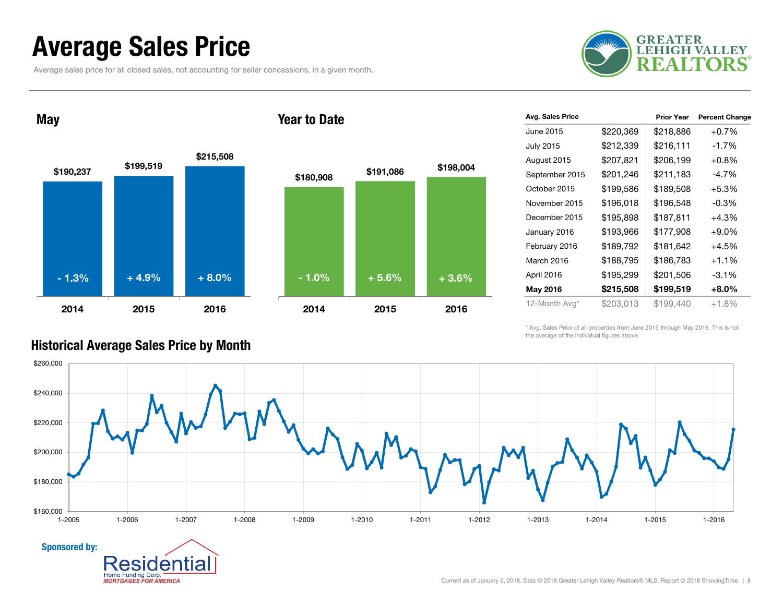## Average Sales Price

Average sales price for all closed sales, not accounting for seller concessions, in a given month.



May





| Avg. Sales Price |           | <b>Prior Year</b> | <b>Percent Change</b> |
|------------------|-----------|-------------------|-----------------------|
| June 2015        | \$220,369 | \$218,886         | $+0.7%$               |
| <b>July 2015</b> | \$212,339 | \$216,111         | -1.7%                 |
| August 2015      | \$207,821 | \$206,199         | $+0.8%$               |
| September 2015   | \$201,246 | \$211,183         | $-4.7%$               |
| October 2015     | \$199,586 | \$189,508         | $+5.3%$               |
| November 2015    | \$196,018 | \$196,548         | $-0.3\%$              |
| December 2015    | \$195,898 | \$187,811         | $+4.3%$               |
| January 2016     | \$193,966 | \$177,908         | $+9.0\%$              |
| February 2016    | \$189,792 | \$181,642         | $+4.5%$               |
| March 2016       | \$188,795 | \$186,783         | $+1.1%$               |
| April 2016       | \$195,299 | \$201,506         | $-3.1%$               |
| May 2016         | \$215,508 | \$199,519         | $+8.0\%$              |
| 12-Month Avg*    | \$203,013 | \$199,440         | $+1.8%$               |

\* Avg. Sales Price of all properties from June 2015 through May 2016. This is not the average of the individual figures above.



### Historical Average Sales Price by Month

en

Home Funding Corp. **MORTGAGES FOR AMERICA**  ıа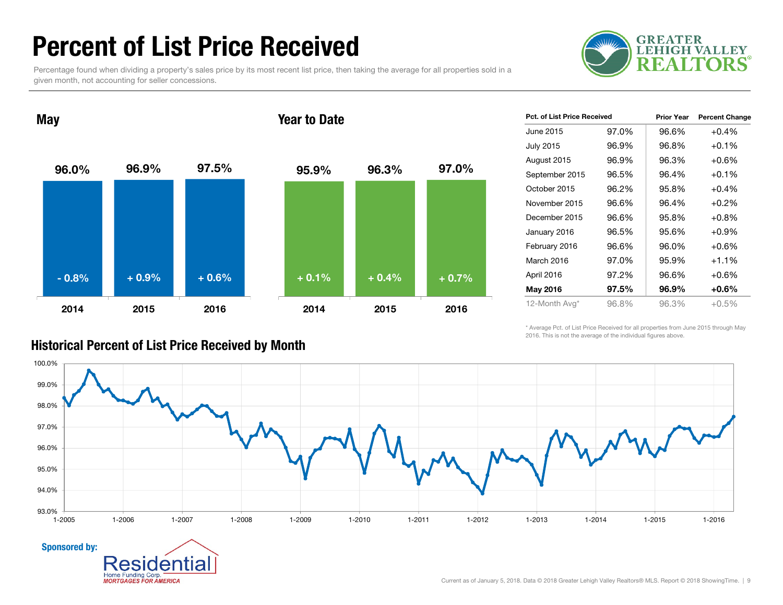# Percent of List Price Received

Percentage found when dividing a property's sales price by its most recent list price, then taking the average for all properties sold in a given month, not accounting for seller concessions.



96.0% 96.9% 97.5% 2014 2015 2016May 95.9% 96.3% 97.0% 2014 2015 2016Year to Date- 0.8% $\%$  + 0.9% + 0.6% + 0.1% + 0.4% + 0.7%

| <b>Pct. of List Price Received</b> |       | <b>Prior Year</b> | <b>Percent Change</b> |
|------------------------------------|-------|-------------------|-----------------------|
| June 2015                          | 97.0% | 96.6%             | $+0.4%$               |
| <b>July 2015</b>                   | 96.9% | 96.8%             | $+0.1%$               |
| August 2015                        | 96.9% | 96.3%             | $+0.6%$               |
| September 2015                     | 96.5% | 96.4%             | $+0.1%$               |
| October 2015                       | 96.2% | 95.8%             | $+0.4%$               |
| November 2015                      | 96.6% | 96.4%             | $+0.2%$               |
| December 2015                      | 96.6% | 95.8%             | $+0.8%$               |
| January 2016                       | 96.5% | 95.6%             | $+0.9%$               |
| February 2016                      | 96.6% | 96.0%             | $+0.6\%$              |
| March 2016                         | 97.0% | 95.9%             | $+1.1%$               |
| April 2016                         | 97.2% | 96.6%             | $+0.6%$               |
| May 2016                           | 97.5% | 96.9%             | +0.6%                 |
| 12-Month Avg*                      | 96.8% | 96.3%             | $+0.5%$               |

\* Average Pct. of List Price Received for all properties from June 2015 through May 2016. This is not the average of the individual figures above.



### Historical Percent of List Price Received by Month

Sponsored by:

**Home Funding Corp MORTGAGES FOR AMERICA**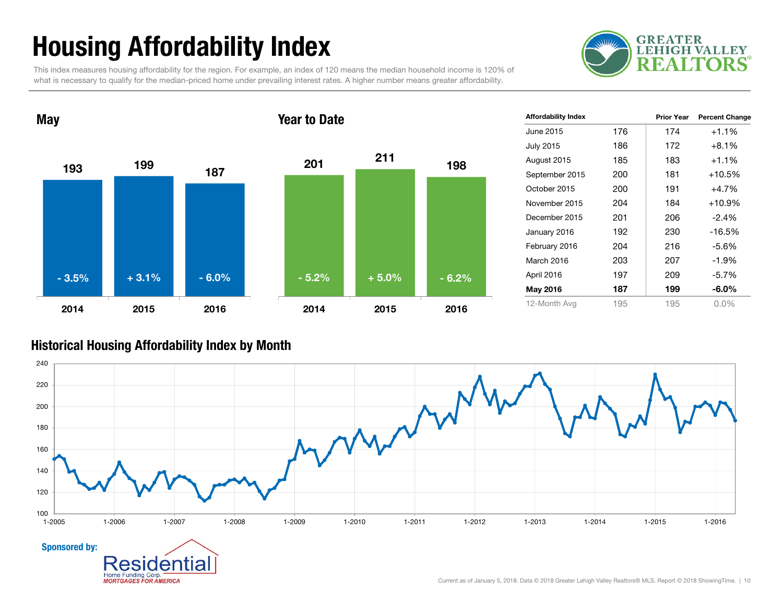# Housing Affordability Index

This index measures housing affordability for the region. For example, an index of 120 means the median household income is 120% of what is necessary to qualify for the median-priced home under prevailing interest rates. A higher number means greater affordability.





| <b>Affordability Index</b> |     | <b>Prior Year</b> | <b>Percent Change</b> |
|----------------------------|-----|-------------------|-----------------------|
| June 2015                  | 176 | 174               | $+1.1%$               |
| <b>July 2015</b>           | 186 | 172               | $+8.1%$               |
| August 2015                | 185 | 183               | $+1.1%$               |
| September 2015             | 200 | 181               | $+10.5%$              |
| October 2015               | 200 | 191               | $+4.7%$               |
| November 2015              | 204 | 184               | $+10.9%$              |
| December 2015              | 201 | 206               | $-2.4%$               |
| January 2016               | 192 | 230               | $-16.5%$              |
| February 2016              | 204 | 216               | $-5.6%$               |
| March 2016                 | 203 | 207               | $-1.9%$               |
| April 2016                 | 197 | 209               | $-5.7%$               |
| May 2016                   | 187 | 199               | $-6.0\%$              |
| 12-Month Avg               | 195 | 195               | $0.0\%$               |

### Historical Housing Affordability Index by Mont h

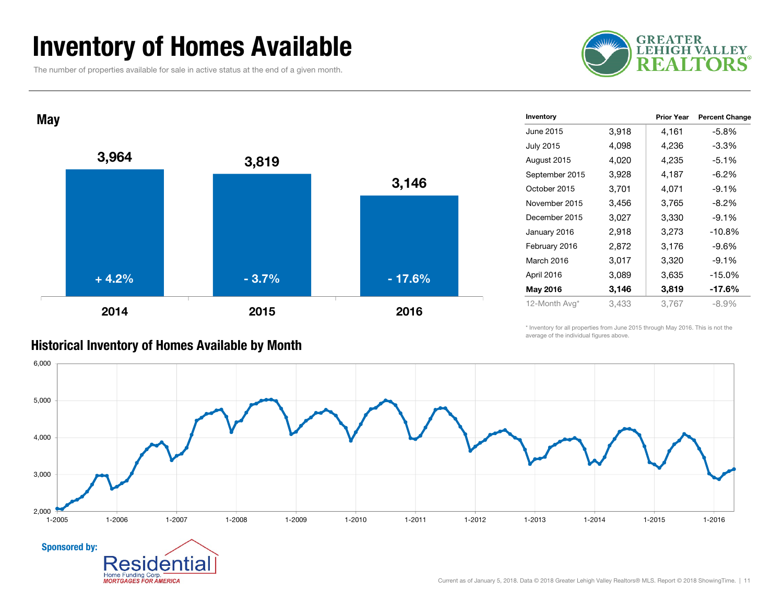## Inventory of Homes Available

The number of properties available for sale in active status at the end of a given month.





| Historical Inventory of Homes Available by Month |  |  |  |  |  |
|--------------------------------------------------|--|--|--|--|--|
|--------------------------------------------------|--|--|--|--|--|

Home Funding Corp. **MORTGAGES FOR AMERICA** 

| Inventory        |       | <b>Prior Year</b> | <b>Percent Change</b> |
|------------------|-------|-------------------|-----------------------|
| June 2015        | 3,918 | 4,161             | -5.8%                 |
| <b>July 2015</b> | 4,098 | 4,236             | -3.3%                 |
| August 2015      | 4,020 | 4,235             | $-5.1%$               |
| September 2015   | 3,928 | 4,187             | -6.2%                 |
| October 2015     | 3,701 | 4,071             | $-9.1%$               |
| November 2015    | 3,456 | 3,765             | $-8.2%$               |
| December 2015    | 3,027 | 3,330             | $-9.1%$               |
| January 2016     | 2,918 | 3,273             | $-10.8%$              |
| February 2016    | 2,872 | 3,176             | -9.6%                 |
| March 2016       | 3,017 | 3,320             | $-9.1%$               |
| April 2016       | 3,089 | 3,635             | $-15.0%$              |
| May 2016         | 3,146 | 3,819             | -17.6%                |
| 12-Month Avg*    | 3,433 | 3,767             | $-8.9\%$              |

\* Inventory for all properties from June 2015 through May 2016. This is not the average of the individual figures above.

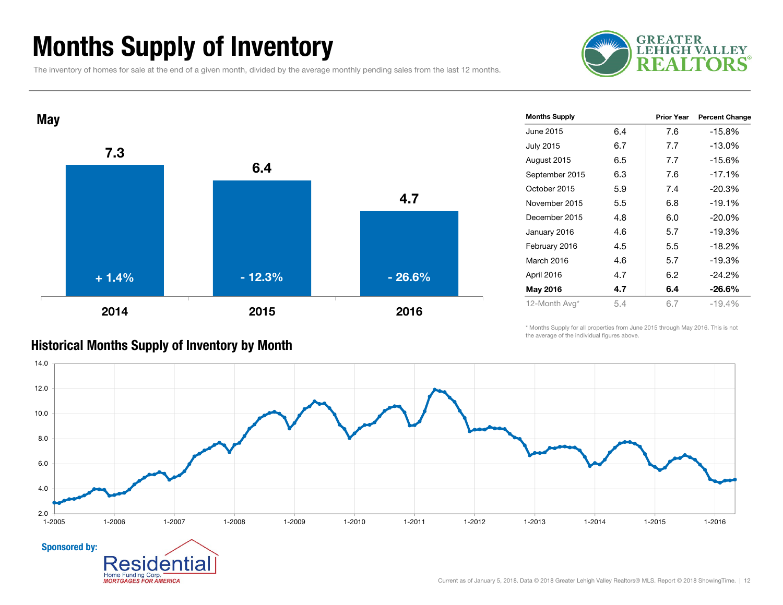# Months Supply of Inventory

The inventory of homes for sale at the end of a given month, divided by the average monthly pending sales from the last 12 months.





| Prior Year<br><b>Percent Change</b><br>$-15.8%$<br>$-13.0%$<br>$-15.6%$ |
|-------------------------------------------------------------------------|
|                                                                         |
|                                                                         |
|                                                                         |
|                                                                         |
| $-17.1%$                                                                |
| $-20.3%$                                                                |
| $-19.1%$                                                                |
| $-20.0\%$                                                               |
| $-19.3%$                                                                |
| $-18.2%$                                                                |
| $-19.3%$                                                                |
| $-24.2%$                                                                |
| $-26.6\%$                                                               |
| $-19.4%$                                                                |
|                                                                         |

\* Months Supply for all properties from June 2015 through May 2016. This is not the average of the individual figures above.



### Historical Months Supply of Inventory by Month

**MORTGAGES FOR AMERICA**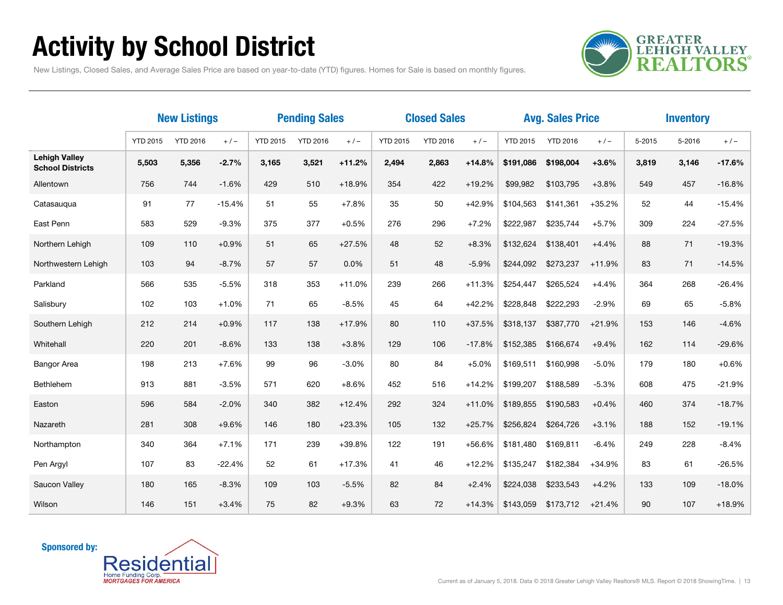# Activity by School District

**GREATER<br>LEHIGH VALLEY REALTORS** 

New Listings, Closed Sales, and Average Sales Price are based on year-to-date (YTD) figures. Homes for Sale is based on monthly figures.

|                                                 | <b>New Listings</b> |                 | <b>Pending Sales</b> |                 |                 | <b>Closed Sales</b> |                 |                 |          | <b>Avg. Sales Price</b> |                 | <b>Inventory</b> |        |        |          |
|-------------------------------------------------|---------------------|-----------------|----------------------|-----------------|-----------------|---------------------|-----------------|-----------------|----------|-------------------------|-----------------|------------------|--------|--------|----------|
|                                                 | <b>YTD 2015</b>     | <b>YTD 2016</b> | $+/-$                | <b>YTD 2015</b> | <b>YTD 2016</b> | $+/-$               | <b>YTD 2015</b> | <b>YTD 2016</b> | $+/-$    | <b>YTD 2015</b>         | <b>YTD 2016</b> | $+/-$            | 5-2015 | 5-2016 | $+/-$    |
| <b>Lehigh Valley</b><br><b>School Districts</b> | 5,503               | 5,356           | $-2.7%$              | 3,165           | 3,521           | $+11.2%$            | 2,494           | 2,863           | $+14.8%$ | \$191,086               | \$198,004       | $+3.6%$          | 3,819  | 3,146  | $-17.6%$ |
| Allentown                                       | 756                 | 744             | $-1.6%$              | 429             | 510             | $+18.9%$            | 354             | 422             | $+19.2%$ | \$99,982                | \$103,795       | $+3.8%$          | 549    | 457    | $-16.8%$ |
| Catasaugua                                      | 91                  | 77              | $-15.4%$             | 51              | 55              | $+7.8%$             | 35              | 50              | $+42.9%$ | \$104,563               | \$141,361       | $+35.2%$         | 52     | 44     | $-15.4%$ |
| East Penn                                       | 583                 | 529             | $-9.3%$              | 375             | 377             | $+0.5%$             | 276             | 296             | $+7.2%$  | \$222,987               | \$235,744       | $+5.7%$          | 309    | 224    | $-27.5%$ |
| Northern Lehigh                                 | 109                 | 110             | $+0.9%$              | 51              | 65              | $+27.5%$            | 48              | 52              | $+8.3%$  | \$132,624               | \$138,401       | $+4.4%$          | 88     | 71     | $-19.3%$ |
| Northwestern Lehigh                             | 103                 | 94              | $-8.7%$              | 57              | 57              | 0.0%                | 51              | 48              | $-5.9%$  | \$244,092               | \$273,237       | $+11.9%$         | 83     | 71     | $-14.5%$ |
| Parkland                                        | 566                 | 535             | $-5.5%$              | 318             | 353             | $+11.0%$            | 239             | 266             | $+11.3%$ | \$254,447               | \$265,524       | $+4.4%$          | 364    | 268    | $-26.4%$ |
| Salisbury                                       | 102                 | 103             | $+1.0%$              | 71              | 65              | $-8.5%$             | 45              | 64              | $+42.2%$ | \$228.848               | \$222,293       | $-2.9%$          | 69     | 65     | $-5.8%$  |
| Southern Lehigh                                 | 212                 | 214             | $+0.9%$              | 117             | 138             | $+17.9%$            | 80              | 110             | $+37.5%$ | \$318,137               | \$387,770       | $+21.9%$         | 153    | 146    | $-4.6%$  |
| Whitehall                                       | 220                 | 201             | $-8.6%$              | 133             | 138             | $+3.8%$             | 129             | 106             | $-17.8%$ | \$152,385               | \$166,674       | $+9.4%$          | 162    | 114    | $-29.6%$ |
| <b>Bangor Area</b>                              | 198                 | 213             | $+7.6%$              | 99              | 96              | $-3.0%$             | 80              | 84              | $+5.0%$  | \$169,511               | \$160,998       | $-5.0%$          | 179    | 180    | $+0.6%$  |
| Bethlehem                                       | 913                 | 881             | $-3.5%$              | 571             | 620             | $+8.6%$             | 452             | 516             | $+14.2%$ | \$199,207               | \$188,589       | $-5.3%$          | 608    | 475    | $-21.9%$ |
| Easton                                          | 596                 | 584             | $-2.0%$              | 340             | 382             | $+12.4%$            | 292             | 324             | $+11.0%$ | \$189,855               | \$190,583       | $+0.4%$          | 460    | 374    | $-18.7%$ |
| Nazareth                                        | 281                 | 308             | $+9.6%$              | 146             | 180             | $+23.3%$            | 105             | 132             | $+25.7%$ | \$256,824               | \$264,726       | $+3.1%$          | 188    | 152    | $-19.1%$ |
| Northampton                                     | 340                 | 364             | $+7.1%$              | 171             | 239             | $+39.8%$            | 122             | 191             | +56.6%   | \$181,480               | \$169,811       | $-6.4%$          | 249    | 228    | $-8.4%$  |
| Pen Argyl                                       | 107                 | 83              | $-22.4%$             | 52              | 61              | $+17.3%$            | 41              | 46              | $+12.2%$ | \$135,247               | \$182,384       | +34.9%           | 83     | 61     | $-26.5%$ |
| Saucon Valley                                   | 180                 | 165             | $-8.3%$              | 109             | 103             | $-5.5%$             | 82              | 84              | $+2.4%$  | \$224,038               | \$233,543       | $+4.2%$          | 133    | 109    | $-18.0%$ |
| Wilson                                          | 146                 | 151             | $+3.4%$              | 75              | 82              | $+9.3%$             | 63              | 72              | $+14.3%$ | \$143,059               | \$173,712       | $+21.4%$         | 90     | 107    | $+18.9%$ |

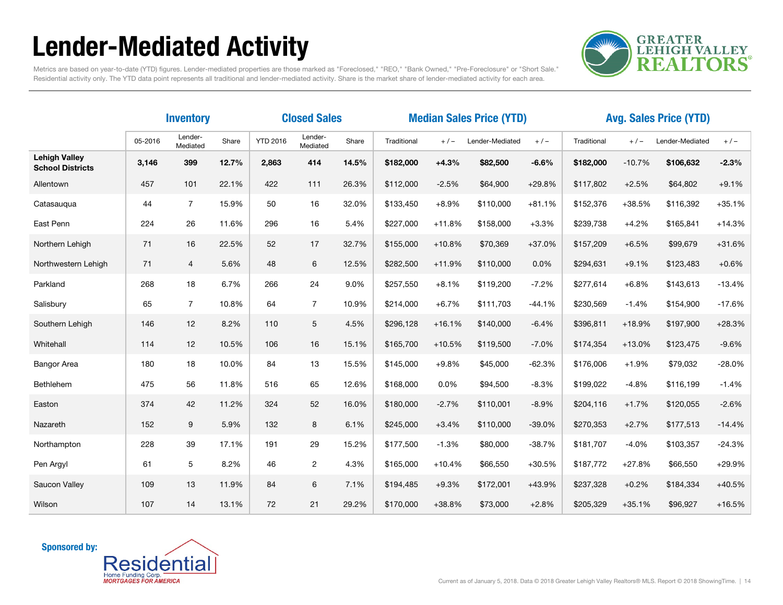# Lender-Mediated Activity



Metrics are based on year-to-date (YTD) figures. Lender-mediated properties are those marked as "Foreclosed," "REO," "Bank Owned," "Pre-Foreclosure" or "Short Sale." Residential activity only. The YTD data point represents all traditional and lender-mediated activity. Share is the market share of lender-mediated activity for each area.

|                                                 | <b>Closed Sales</b><br><b>Inventory</b> |                     |       |                 |                     | <b>Median Sales Price (YTD)</b> |             |          |                 | <b>Avg. Sales Price (YTD)</b> |             |          |                 |          |
|-------------------------------------------------|-----------------------------------------|---------------------|-------|-----------------|---------------------|---------------------------------|-------------|----------|-----------------|-------------------------------|-------------|----------|-----------------|----------|
|                                                 | 05-2016                                 | Lender-<br>Mediated | Share | <b>YTD 2016</b> | Lender-<br>Mediated | Share                           | Traditional | $+/-$    | Lender-Mediated | $+/-$                         | Traditional | $+/-$    | Lender-Mediated | $+/-$    |
| <b>Lehigh Valley</b><br><b>School Districts</b> | 3,146                                   | 399                 | 12.7% | 2,863           | 414                 | 14.5%                           | \$182,000   | $+4.3%$  | \$82,500        | $-6.6%$                       | \$182,000   | $-10.7%$ | \$106,632       | $-2.3%$  |
| Allentown                                       | 457                                     | 101                 | 22.1% | 422             | 111                 | 26.3%                           | \$112,000   | $-2.5%$  | \$64,900        | $+29.8%$                      | \$117,802   | $+2.5%$  | \$64,802        | $+9.1%$  |
| Catasauqua                                      | 44                                      | $\overline{7}$      | 15.9% | 50              | 16                  | 32.0%                           | \$133,450   | $+8.9%$  | \$110,000       | $+81.1%$                      | \$152,376   | $+38.5%$ | \$116,392       | $+35.1%$ |
| East Penn                                       | 224                                     | 26                  | 11.6% | 296             | 16                  | 5.4%                            | \$227,000   | $+11.8%$ | \$158,000       | $+3.3%$                       | \$239,738   | $+4.2%$  | \$165,841       | $+14.3%$ |
| Northern Lehigh                                 | 71                                      | 16                  | 22.5% | 52              | 17                  | 32.7%                           | \$155,000   | $+10.8%$ | \$70,369        | $+37.0%$                      | \$157,209   | $+6.5%$  | \$99,679        | $+31.6%$ |
| Northwestern Lehigh                             | 71                                      | $\overline{4}$      | 5.6%  | 48              | 6                   | 12.5%                           | \$282,500   | $+11.9%$ | \$110,000       | 0.0%                          | \$294,631   | $+9.1%$  | \$123,483       | $+0.6%$  |
| Parkland                                        | 268                                     | 18                  | 6.7%  | 266             | 24                  | 9.0%                            | \$257,550   | $+8.1%$  | \$119,200       | $-7.2%$                       | \$277,614   | $+6.8%$  | \$143,613       | $-13.4%$ |
| Salisbury                                       | 65                                      | $\overline{7}$      | 10.8% | 64              | $\overline{7}$      | 10.9%                           | \$214,000   | $+6.7%$  | \$111,703       | $-44.1%$                      | \$230,569   | $-1.4%$  | \$154,900       | $-17.6%$ |
| Southern Lehigh                                 | 146                                     | 12                  | 8.2%  | 110             | 5                   | 4.5%                            | \$296,128   | $+16.1%$ | \$140,000       | $-6.4%$                       | \$396,811   | $+18.9%$ | \$197,900       | $+28.3%$ |
| Whitehall                                       | 114                                     | 12                  | 10.5% | 106             | 16                  | 15.1%                           | \$165,700   | $+10.5%$ | \$119,500       | $-7.0%$                       | \$174,354   | $+13.0%$ | \$123,475       | $-9.6%$  |
| <b>Bangor Area</b>                              | 180                                     | 18                  | 10.0% | 84              | 13                  | 15.5%                           | \$145,000   | $+9.8%$  | \$45,000        | $-62.3%$                      | \$176,006   | $+1.9%$  | \$79,032        | $-28.0%$ |
| Bethlehem                                       | 475                                     | 56                  | 11.8% | 516             | 65                  | 12.6%                           | \$168,000   | 0.0%     | \$94,500        | $-8.3%$                       | \$199,022   | $-4.8%$  | \$116,199       | $-1.4%$  |
| Easton                                          | 374                                     | 42                  | 11.2% | 324             | 52                  | 16.0%                           | \$180,000   | $-2.7%$  | \$110,001       | $-8.9%$                       | \$204,116   | $+1.7%$  | \$120,055       | $-2.6%$  |
| Nazareth                                        | 152                                     | 9                   | 5.9%  | 132             | 8                   | 6.1%                            | \$245,000   | $+3.4%$  | \$110,000       | $-39.0%$                      | \$270,353   | $+2.7%$  | \$177,513       | $-14.4%$ |
| Northampton                                     | 228                                     | 39                  | 17.1% | 191             | 29                  | 15.2%                           | \$177,500   | $-1.3%$  | \$80,000        | $-38.7%$                      | \$181,707   | $-4.0%$  | \$103,357       | $-24.3%$ |
| Pen Argyl                                       | 61                                      | 5                   | 8.2%  | 46              | $\overline{c}$      | 4.3%                            | \$165,000   | $+10.4%$ | \$66,550        | $+30.5%$                      | \$187,772   | $+27.8%$ | \$66,550        | $+29.9%$ |
| Saucon Valley                                   | 109                                     | 13                  | 11.9% | 84              | 6                   | 7.1%                            | \$194,485   | $+9.3%$  | \$172,001       | +43.9%                        | \$237,328   | $+0.2%$  | \$184,334       | $+40.5%$ |
| Wilson                                          | 107                                     | 14                  | 13.1% | 72              | 21                  | 29.2%                           | \$170,000   | $+38.8%$ | \$73,000        | $+2.8%$                       | \$205,329   | $+35.1%$ | \$96,927        | $+16.5%$ |